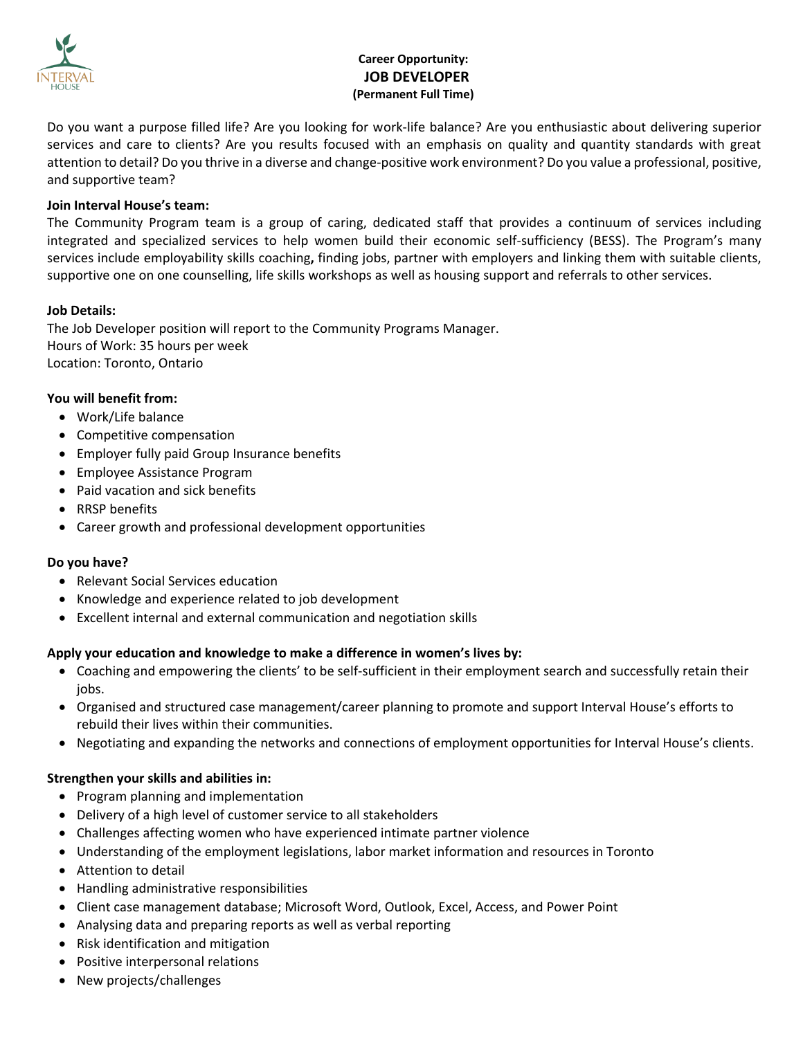

# **Career Opportunity: JOB DEVELOPER (Permanent Full Time)**

Do you want a purpose filled life? Are you looking for work-life balance? Are you enthusiastic about delivering superior services and care to clients? Are you results focused with an emphasis on quality and quantity standards with great attention to detail? Do you thrive in a diverse and change-positive work environment? Do you value a professional, positive, and supportive team?

## **Join Interval House's team:**

The Community Program team is a group of caring, dedicated staff that provides a continuum of services including integrated and specialized services to help women build their economic self-sufficiency (BESS). The Program's many services include employability skills coaching**,** finding jobs, partner with employers and linking them with suitable clients, supportive one on one counselling, life skills workshops as well as housing support and referrals to other services.

#### **Job Details:**

The Job Developer position will report to the Community Programs Manager. Hours of Work: 35 hours per week Location: Toronto, Ontario

#### **You will benefit from:**

- Work/Life balance
- Competitive compensation
- Employer fully paid Group Insurance benefits
- Employee Assistance Program
- Paid vacation and sick benefits
- RRSP benefits
- Career growth and professional development opportunities

#### **Do you have?**

- Relevant Social Services education
- Knowledge and experience related to job development
- Excellent internal and external communication and negotiation skills

#### **Apply your education and knowledge to make a difference in women's lives by:**

- Coaching and empowering the clients' to be self-sufficient in their employment search and successfully retain their jobs.
- Organised and structured case management/career planning to promote and support Interval House's efforts to rebuild their lives within their communities.
- Negotiating and expanding the networks and connections of employment opportunities for Interval House's clients.

#### **Strengthen your skills and abilities in:**

- Program planning and implementation
- Delivery of a high level of customer service to all stakeholders
- Challenges affecting women who have experienced intimate partner violence
- Understanding of the employment legislations, labor market information and resources in Toronto
- Attention to detail
- Handling administrative responsibilities
- Client case management database; Microsoft Word, Outlook, Excel, Access, and Power Point
- Analysing data and preparing reports as well as verbal reporting
- Risk identification and mitigation
- Positive interpersonal relations
- New projects/challenges